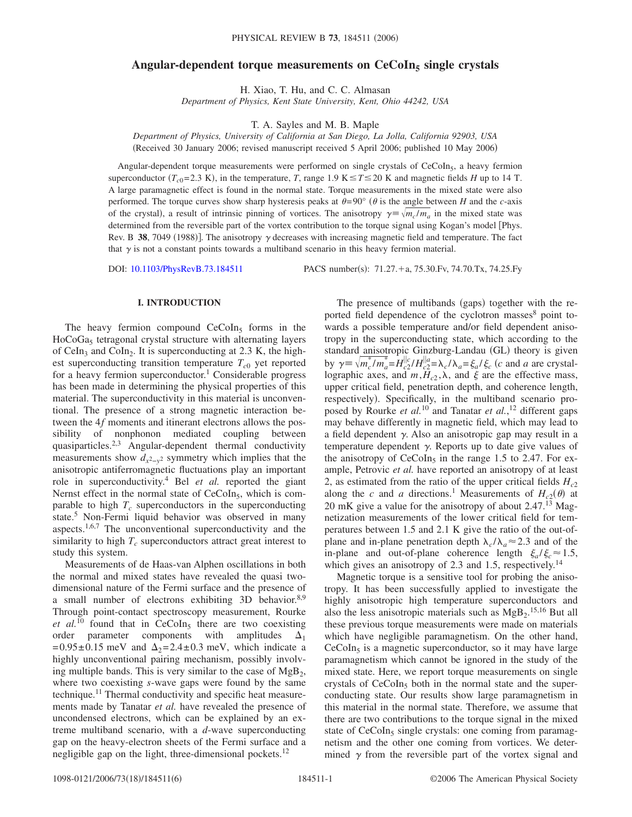# Angular-dependent torque measurements on CeCoIn<sub>5</sub> single crystals

H. Xiao, T. Hu, and C. C. Almasan

*Department of Physics, Kent State University, Kent, Ohio 44242, USA*

T. A. Sayles and M. B. Maple

*Department of Physics, University of California at San Diego, La Jolla, California 92903, USA* (Received 30 January 2006; revised manuscript received 5 April 2006; published 10 May 2006)

Angular-dependent torque measurements were performed on single crystals of CeCoIn<sub>5</sub>, a heavy fermion superconductor  $(T_{c0} = 2.3 \text{ K})$ , in the temperature, *T*, range 1.9 K  $\leq T \leq 20 \text{ K}$  and magnetic fields *H* up to 14 T. A large paramagnetic effect is found in the normal state. Torque measurements in the mixed state were also performed. The torque curves show sharp hysteresis peaks at  $\theta = 90^\circ$  ( $\theta$  is the angle between *H* and the *c*-axis of the crystal), a result of intrinsic pinning of vortices. The anisotropy  $\gamma = \sqrt{m_c/m_a}$  in the mixed state was determined from the reversible part of the vortex contribution to the torque signal using Kogan's model [Phys. Rev. B 38, 7049 (1988)]. The anisotropy  $\gamma$  decreases with increasing magnetic field and temperature. The fact that  $\gamma$  is not a constant points towards a multiband scenario in this heavy fermion material.

DOI: [10.1103/PhysRevB.73.184511](http://dx.doi.org/10.1103/PhysRevB.73.184511)

PACS number(s): 71.27. + a, 75.30. Fv, 74.70. Tx, 74.25. Fy

# **I. INTRODUCTION**

The heavy fermion compound  $CeCoIn<sub>5</sub>$  forms in the  $HoCoGa<sub>5</sub>$  tetragonal crystal structure with alternating layers of CeIn<sub>3</sub> and CoIn<sub>2</sub>. It is superconducting at 2.3 K, the highest superconducting transition temperature  $T_{c0}$  yet reported for a heavy fermion superconductor.<sup>1</sup> Considerable progress has been made in determining the physical properties of this material. The superconductivity in this material is unconventional. The presence of a strong magnetic interaction between the 4*f* moments and itinerant electrons allows the possibility of nonphonon mediated coupling between quasiparticles.2,3 Angular-dependent thermal conductivity measurements show  $d_{x^2-y^2}$  symmetry which implies that the anisotropic antiferromagnetic fluctuations play an important role in superconductivity.4 Bel *et al.* reported the giant Nernst effect in the normal state of  $CeCoIn<sub>5</sub>$ , which is comparable to high  $T_c$  superconductors in the superconducting state.5 Non-Fermi liquid behavior was observed in many aspects.1,6,7 The unconventional superconductivity and the similarity to high  $T_c$  superconductors attract great interest to study this system.

Measurements of de Haas-van Alphen oscillations in both the normal and mixed states have revealed the quasi twodimensional nature of the Fermi surface and the presence of a small number of electrons exhibiting 3D behavior.<sup>8,9</sup> Through point-contact spectroscopy measurement, Rourke *et al.*<sup>10</sup> found that in CeCoIn<sub>5</sub> there are two coexisting order parameter components with amplitudes  $\Delta_1$  $= 0.95 \pm 0.15$  meV and  $\Delta_2 = 2.4 \pm 0.3$  meV, which indicate a highly unconventional pairing mechanism, possibly involving multiple bands. This is very similar to the case of  $MgB<sub>2</sub>$ , where two coexisting *s*-wave gaps were found by the same technique.<sup>11</sup> Thermal conductivity and specific heat measurements made by Tanatar *et al.* have revealed the presence of uncondensed electrons, which can be explained by an extreme multiband scenario, with a *d*-wave superconducting gap on the heavy-electron sheets of the Fermi surface and a negligible gap on the light, three-dimensional pockets.<sup>12</sup>

The presence of multibands (gaps) together with the reported field dependence of the cyclotron masses<sup>8</sup> point towards a possible temperature and/or field dependent anisotropy in the superconducting state, which according to the standard anisotropic Ginzburg-Landau (GL) theory is given by  $\gamma = \sqrt{m_c^b/m_a^b} = H_{c2}^{||c|} / H_{c2}^{||a} = \lambda_c / \lambda_a = \xi_a / \xi_c$  (c and *a* are crystallographic axes, and  $m$ ,  $H<sub>c2</sub>$ ,  $\lambda$ , and  $\xi$  are the effective mass, upper critical field, penetration depth, and coherence length, respectively). Specifically, in the multiband scenario proposed by Rourke *et al.*<sup>10</sup> and Tanatar *et al.*, <sup>12</sup> different gaps may behave differently in magnetic field, which may lead to a field dependent  $\gamma$ . Also an anisotropic gap may result in a temperature dependent  $\gamma$ . Reports up to date give values of the anisotropy of  $CeCoIn<sub>5</sub>$  in the range 1.5 to 2.47. For example, Petrovic *et al.* have reported an anisotropy of at least 2, as estimated from the ratio of the upper critical fields  $H_{c2}$ along the *c* and *a* directions.<sup>1</sup> Measurements of  $H_{c2}(\theta)$  at 20 mK give a value for the anisotropy of about  $2.47<sup>13</sup>$  Magnetization measurements of the lower critical field for temperatures between 1.5 and 2.1 K give the ratio of the out-ofplane and in-plane penetration depth  $\lambda_c/\lambda_a \approx 2.3$  and of the in-plane and out-of-plane coherence length  $\xi_a/\xi_c \approx 1.5$ , which gives an anisotropy of 2.3 and 1.5, respectively.<sup>14</sup>

Magnetic torque is a sensitive tool for probing the anisotropy. It has been successfully applied to investigate the highly anisotropic high temperature superconductors and also the less anisotropic materials such as  $MgB_2$ .<sup>15,16</sup> But all these previous torque measurements were made on materials which have negligible paramagnetism. On the other hand,  $CeCoIn<sub>5</sub>$  is a magnetic superconductor, so it may have large paramagnetism which cannot be ignored in the study of the mixed state. Here, we report torque measurements on single crystals of  $CeCoIn<sub>5</sub>$  both in the normal state and the superconducting state. Our results show large paramagnetism in this material in the normal state. Therefore, we assume that there are two contributions to the torque signal in the mixed state of  $CeCoIn<sub>5</sub>$  single crystals: one coming from paramagnetism and the other one coming from vortices. We determined  $\gamma$  from the reversible part of the vortex signal and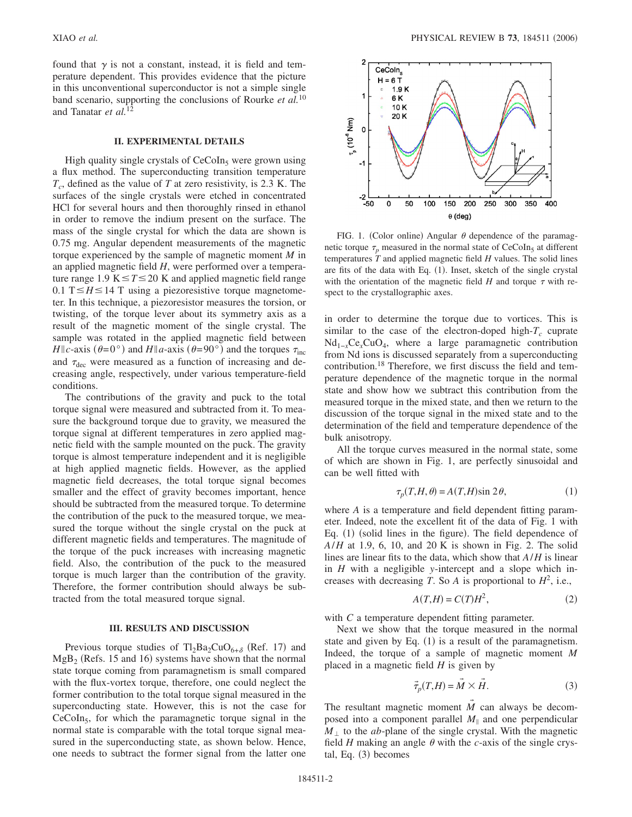found that  $\gamma$  is not a constant, instead, it is field and temperature dependent. This provides evidence that the picture in this unconventional superconductor is not a simple single band scenario, supporting the conclusions of Rourke *et al.*<sup>10</sup> and Tanatar *et al.*<sup>12</sup>

## **II. EXPERIMENTAL DETAILS**

High quality single crystals of  $CeCoIn<sub>5</sub>$  were grown using a flux method. The superconducting transition temperature *Tc*, defined as the value of *T* at zero resistivity, is 2.3 K. The surfaces of the single crystals were etched in concentrated HCl for several hours and then thoroughly rinsed in ethanol in order to remove the indium present on the surface. The mass of the single crystal for which the data are shown is 0.75 mg. Angular dependent measurements of the magnetic torque experienced by the sample of magnetic moment *M* in an applied magnetic field *H*, were performed over a temperature range 1.9 K $\leq T \leq 20$  K and applied magnetic field range  $0.1$  T $\leq$  *H* $\leq$  14 T using a piezoresistive torque magnetometer. In this technique, a piezoresistor measures the torsion, or twisting, of the torque lever about its symmetry axis as a result of the magnetic moment of the single crystal. The sample was rotated in the applied magnetic field between  $H \| c$ -axis ( $\theta = 0^{\circ}$ ) and  $H \| a$ -axis ( $\theta = 90^{\circ}$ ) and the torques  $\tau_{inc}$ and  $\tau_{\text{dec}}$  were measured as a function of increasing and decreasing angle, respectively, under various temperature-field conditions.

The contributions of the gravity and puck to the total torque signal were measured and subtracted from it. To measure the background torque due to gravity, we measured the torque signal at different temperatures in zero applied magnetic field with the sample mounted on the puck. The gravity torque is almost temperature independent and it is negligible at high applied magnetic fields. However, as the applied magnetic field decreases, the total torque signal becomes smaller and the effect of gravity becomes important, hence should be subtracted from the measured torque. To determine the contribution of the puck to the measured torque, we measured the torque without the single crystal on the puck at different magnetic fields and temperatures. The magnitude of the torque of the puck increases with increasing magnetic field. Also, the contribution of the puck to the measured torque is much larger than the contribution of the gravity. Therefore, the former contribution should always be subtracted from the total measured torque signal.

#### **III. RESULTS AND DISCUSSION**

Previous torque studies of  $Tl_2Ba_2CuO_{6+\delta}$  (Ref. 17) and  $MgB<sub>2</sub>$  (Refs. 15 and 16) systems have shown that the normal state torque coming from paramagnetism is small compared with the flux-vortex torque, therefore, one could neglect the former contribution to the total torque signal measured in the superconducting state. However, this is not the case for  $CeCoIn<sub>5</sub>$ , for which the paramagnetic torque signal in the normal state is comparable with the total torque signal measured in the superconducting state, as shown below. Hence, one needs to subtract the former signal from the latter one



FIG. 1. (Color online) Angular  $\theta$  dependence of the paramagnetic torque  $\tau_n$  measured in the normal state of CeCoIn<sub>5</sub> at different temperatures *T* and applied magnetic field *H* values. The solid lines are fits of the data with Eq. (1). Inset, sketch of the single crystal with the orientation of the magnetic field  $H$  and torque  $\tau$  with respect to the crystallographic axes.

in order to determine the torque due to vortices. This is similar to the case of the electron-doped high- $T_c$  cuprate Nd1−*x*Ce*x*CuO4, where a large paramagnetic contribution from Nd ions is discussed separately from a superconducting contribution.18 Therefore, we first discuss the field and temperature dependence of the magnetic torque in the normal state and show how we subtract this contribution from the measured torque in the mixed state, and then we return to the discussion of the torque signal in the mixed state and to the determination of the field and temperature dependence of the bulk anisotropy.

All the torque curves measured in the normal state, some of which are shown in Fig. 1, are perfectly sinusoidal and can be well fitted with

$$
\tau_p(T, H, \theta) = A(T, H)\sin 2\theta,\tag{1}
$$

where *A* is a temperature and field dependent fitting parameter. Indeed, note the excellent fit of the data of Fig. 1 with Eq. (1) (solid lines in the figure). The field dependence of *A*/*H* at 1.9, 6, 10, and 20 K is shown in Fig. 2. The solid lines are linear fits to the data, which show that *A*/*H* is linear in *H* with a negligible *y*-intercept and a slope which increases with decreasing *T*. So *A* is proportional to  $H^2$ , i.e.,

$$
A(T,H) = C(T)H^2,\t(2)
$$

with *C* a temperature dependent fitting parameter.

Next we show that the torque measured in the normal state and given by Eq.  $(1)$  is a result of the paramagnetism. Indeed, the torque of a sample of magnetic moment *M* placed in a magnetic field *H* is given by

$$
\vec{\tau}_p(T, H) = \vec{M} \times \vec{H}.
$$
 (3)

The resultant magnetic moment *M* can always be decomposed into a component parallel  $M_{\parallel}$  and one perpendicular  $M_{\perp}$  to the *ab*-plane of the single crystal. With the magnetic field  $H$  making an angle  $\theta$  with the *c*-axis of the single crystal, Eq. (3) becomes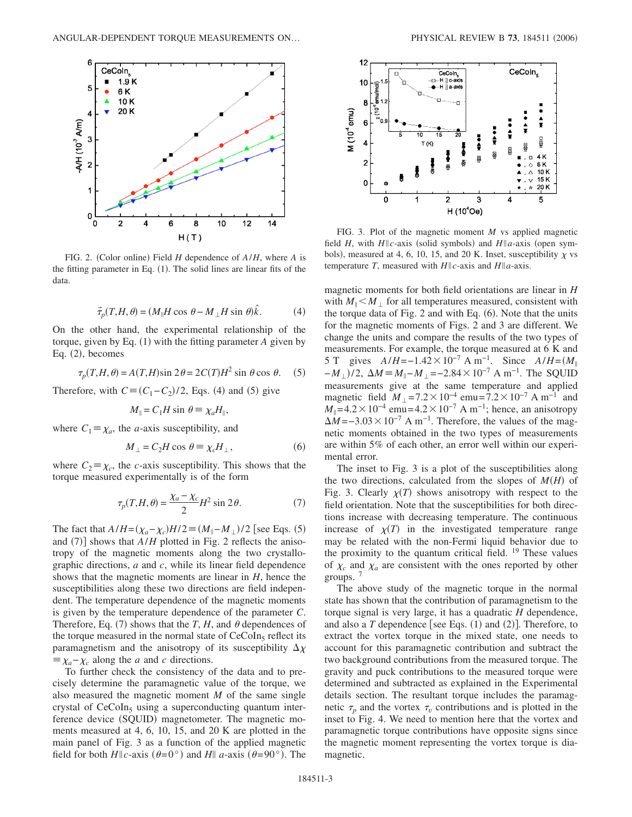

FIG. 2. (Color online) Field *H* dependence of  $A/H$ , where *A* is the fitting parameter in Eq. (1). The solid lines are linear fits of the data.

$$
\vec{\tau}_p(T, H, \theta) = (M_{\parallel}H \cos \theta - M_{\perp}H \sin \theta)\hat{k}.
$$
 (4)

On the other hand, the experimental relationship of the torque, given by Eq. (1) with the fitting parameter *A* given by Eq. (2), becomes

$$
\tau_p(T, H, \theta) = A(T, H)\sin 2\theta = 2C(T)H^2 \sin \theta \cos \theta.
$$
 (5)

Therefore, with  $C \equiv (C_1 - C_2)/2$ , Eqs. (4) and (5) give

$$
M_{\parallel} = C_1 H \sin \theta \equiv \chi_a H_{\parallel},
$$

where  $C_1 \equiv \chi_a$ , the *a*-axis susceptibility, and

$$
M_{\perp} = C_2 H \cos \theta \equiv \chi_c H_{\perp}, \tag{6}
$$

where  $C_2 \equiv \chi_c$ , the *c*-axis susceptibility. This shows that the torque measured experimentally is of the form

$$
\tau_p(T, H, \theta) = \frac{\chi_a - \chi_c}{2} H^2 \sin 2\theta.
$$
 (7)

The fact that  $A/H = (\chi_a - \chi_c)H/2 \equiv (M_{\parallel} - M_{\perp})/2$  [see Eqs. (5) and  $(7)$ ] shows that  $A/H$  plotted in Fig. 2 reflects the anisotropy of the magnetic moments along the two crystallographic directions, *a* and *c*, while its linear field dependence shows that the magnetic moments are linear in *H*, hence the susceptibilities along these two directions are field independent. The temperature dependence of the magnetic moments is given by the temperature dependence of the parameter *C*. Therefore, Eq. (7) shows that the *T*, *H*, and  $\theta$  dependences of the torque measured in the normal state of  $CeCoIn<sub>5</sub>$  reflect its paramagnetism and the anisotropy of its susceptibility  $\Delta \chi$  $\equiv \chi_a - \chi_c$  along the *a* and *c* directions.

To further check the consistency of the data and to precisely determine the paramagnetic value of the torque, we also measured the magnetic moment *M* of the same single crystal of  $CeCoIn<sub>5</sub>$  using a superconducting quantum interference device (SQUID) magnetometer. The magnetic moments measured at 4, 6, 10, 15, and 20 K are plotted in the main panel of Fig. 3 as a function of the applied magnetic field for both  $H||c$ -axis  $(\theta=0^{\circ})$  and  $H||a$ -axis  $(\theta=90^{\circ})$ . The



FIG. 3. Plot of the magnetic moment *M* vs applied magnetic field *H*, with  $H \| c$ -axis (solid symbols) and  $H \| a$ -axis (open symbols), measured at 4, 6, 10, 15, and 20 K. Inset, susceptibility  $\chi$  vs temperature *T*, measured with  $H||c$ -axis and  $H||a$ -axis.

magnetic moments for both field orientations are linear in *H* with  $M_{\parallel} < M_{\perp}$  for all temperatures measured, consistent with the torque data of Fig. 2 and with Eq. (6). Note that the units for the magnetic moments of Figs. 2 and 3 are different. We change the units and compare the results of the two types of measurements. For example, the torque measured at 6 K and 5 T gives  $A/H = -1.42 \times 10^{-7}$  A m<sup>-1</sup>. Since  $A/H = (M_{\parallel})$  $-M_{\perp}$ )/2,  $\Delta M \equiv M_{\parallel} - M_{\perp} = -2.84 \times 10^{-7}$  A m<sup>-1</sup>. The SQUID measurements give at the same temperature and applied magnetic field  $M_{\perp} = 7.2 \times 10^{-4}$  emu= $7.2 \times 10^{-7}$  A m<sup>-1</sup> and  $M_{\parallel}$ =4.2 × 10<sup>-4</sup> emu= 4.2 × 10<sup>-7</sup> A m<sup>-1</sup>; hence, an anisotropy  $\Delta M = -3.03 \times 10^{-7}$  A m<sup>-1</sup>. Therefore, the values of the magnetic moments obtained in the two types of measurements are within 5% of each other, an error well within our experimental error.

The inset to Fig. 3 is a plot of the susceptibilities along the two directions, calculated from the slopes of  $M(H)$  of Fig. 3. Clearly  $\chi(T)$  shows anisotropy with respect to the field orientation. Note that the susceptibilities for both directions increase with decreasing temperature. The continuous increase of  $\chi(T)$  in the investigated temperature range may be related with the non-Fermi liquid behavior due to the proximity to the quantum critical field.  $^{19}$  These values of  $\chi_c$  and  $\chi_a$  are consistent with the ones reported by other groups.<sup>7</sup>

The above study of the magnetic torque in the normal state has shown that the contribution of paramagnetism to the torque signal is very large, it has a quadratic *H* dependence, and also a  $T$  dependence [see Eqs.  $(1)$  and  $(2)$ ]. Therefore, to extract the vortex torque in the mixed state, one needs to account for this paramagnetic contribution and subtract the two background contributions from the measured torque. The gravity and puck contributions to the measured torque were determined and subtracted as explained in the Experimental details section. The resultant torque includes the paramagnetic  $\tau_n$  and the vortex  $\tau_n$  contributions and is plotted in the inset to Fig. 4. We need to mention here that the vortex and paramagnetic torque contributions have opposite signs since the magnetic moment representing the vortex torque is diamagnetic.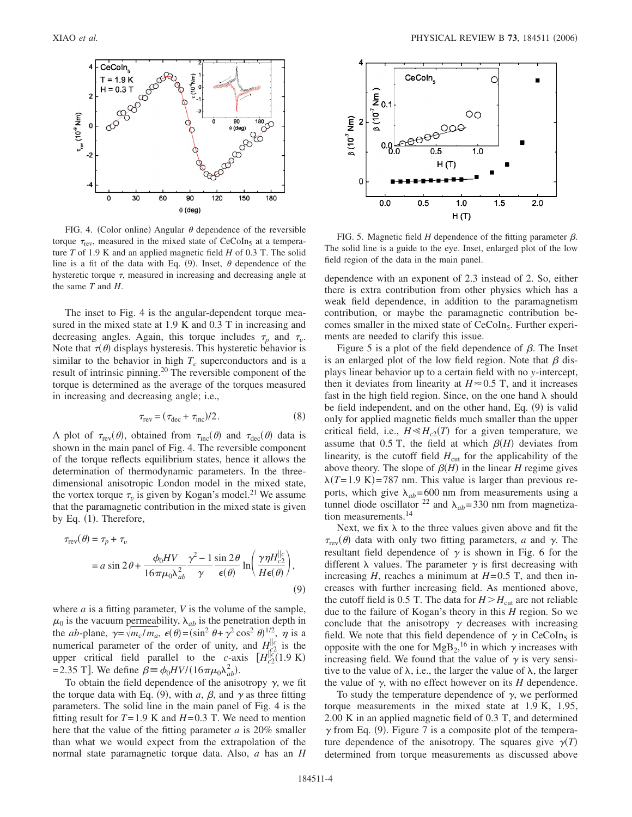

FIG. 4. (Color online) Angular  $\theta$  dependence of the reversible torque  $\tau_{\text{rev}}$ , measured in the mixed state of CeCoIn<sub>5</sub> at a temperature *T* of 1.9 K and an applied magnetic field *H* of 0.3 T. The solid line is a fit of the data with Eq. (9). Inset,  $\theta$  dependence of the hysteretic torque  $\tau$ , measured in increasing and decreasing angle at the same *T* and *H*.

The inset to Fig. 4 is the angular-dependent torque measured in the mixed state at 1.9 K and 0.3 T in increasing and decreasing angles. Again, this torque includes  $\tau_n$  and  $\tau_n$ . Note that  $\tau(\theta)$  displays hysteresis. This hysteretic behavior is similar to the behavior in high  $T_c$  superconductors and is a result of intrinsic pinning.<sup>20</sup> The reversible component of the torque is determined as the average of the torques measured in increasing and decreasing angle; i.e.,

$$
\tau_{\text{rev}} = (\tau_{\text{dec}} + \tau_{\text{inc}})/2. \tag{8}
$$

A plot of  $\tau_{rev}(\theta)$ , obtained from  $\tau_{inc}(\theta)$  and  $\tau_{dec}(\theta)$  data is shown in the main panel of Fig. 4. The reversible component of the torque reflects equilibrium states, hence it allows the determination of thermodynamic parameters. In the threedimensional anisotropic London model in the mixed state, the vortex torque  $\tau_v$  is given by Kogan's model.<sup>21</sup> We assume that the paramagnetic contribution in the mixed state is given by Eq. (1). Therefore,

$$
\tau_{\text{rev}}(\theta) = \tau_p + \tau_v
$$
  
=  $a \sin 2\theta + \frac{\phi_0 HV}{16\pi\mu_0 \lambda_{ab}^2} \frac{\gamma^2 - 1}{\gamma} \frac{\sin 2\theta}{\epsilon(\theta)} \ln\left(\frac{\gamma \eta H_{c2}^{||c}}{H\epsilon(\theta)}\right),$  (9)

where *a* is a fitting parameter, *V* is the volume of the sample,  $\mu_0$  is the vacuum permeability,  $\lambda_{ab}$  is the penetration depth in the *ab*-plane,  $\gamma = \sqrt{m_c / m_a}$ ,  $\epsilon(\theta) = (\sin^2 \theta + \gamma^2 \cos^2 \theta)^{1/2}$ ,  $\eta$  is a numerical parameter of the order of unity, and  $H_{\lvert c^2}^{\rvert\lvert c}$  is the upper critical field parallel to the *c*-axis  $[H_{c2}^{||\dot{c}}(1.9 \text{ K})]$ = 2.35 T]. We define  $\beta = \phi_0 H V / (16 \pi \mu_0 \lambda_{ab}^2)$ .

To obtain the field dependence of the anisotropy  $\gamma$ , we fit the torque data with Eq. (9), with *a*,  $\beta$ , and  $\gamma$  as three fitting parameters. The solid line in the main panel of Fig. 4 is the fitting result for  $T = 1.9$  K and  $H = 0.3$  T. We need to mention here that the value of the fitting parameter *a* is 20% smaller than what we would expect from the extrapolation of the normal state paramagnetic torque data. Also, *a* has an *H*



FIG. 5. Magnetic field  $H$  dependence of the fitting parameter  $\beta$ . The solid line is a guide to the eye. Inset, enlarged plot of the low field region of the data in the main panel.

dependence with an exponent of 2.3 instead of 2. So, either there is extra contribution from other physics which has a weak field dependence, in addition to the paramagnetism contribution, or maybe the paramagnetic contribution becomes smaller in the mixed state of CeCoIn<sub>5</sub>. Further experiments are needed to clarify this issue.

Figure 5 is a plot of the field dependence of  $\beta$ . The Inset is an enlarged plot of the low field region. Note that  $\beta$  displays linear behavior up to a certain field with no *y*-intercept, then it deviates from linearity at  $H \approx 0.5$  T, and it increases fast in the high field region. Since, on the one hand  $\lambda$  should be field independent, and on the other hand, Eq. (9) is valid only for applied magnetic fields much smaller than the upper critical field, i.e.,  $H \le H_{c2}(T)$  for a given temperature, we assume that  $0.5$  T, the field at which  $\beta$ (*H*) deviates from linearity, is the cutoff field  $H_{\text{cut}}$  for the applicability of the above theory. The slope of  $\beta$ (*H*) in the linear *H* regime gives  $\lambda(T=1.9 \text{ K}) = 787 \text{ nm}$ . This value is larger than previous reports, which give  $\lambda_{ab} = 600$  nm from measurements using a tunnel diode oscillator <sup>22</sup> and  $\lambda_{ab}$ = 330 nm from magnetization measurements.14

Next, we fix  $\lambda$  to the three values given above and fit the  $\tau_{\rm rev}(\theta)$  data with only two fitting parameters, *a* and  $\gamma$ . The resultant field dependence of  $\gamma$  is shown in Fig. 6 for the different  $\lambda$  values. The parameter  $\gamma$  is first decreasing with increasing  $H$ , reaches a minimum at  $H=0.5$  T, and then increases with further increasing field. As mentioned above, the cutoff field is 0.5 T. The data for  $H > H<sub>cut</sub>$  are not reliable due to the failure of Kogan's theory in this *H* region. So we conclude that the anisotropy  $\gamma$  decreases with increasing field. We note that this field dependence of  $\gamma$  in CeCoIn<sub>5</sub> is opposite with the one for  $MgB_2$ ,<sup>16</sup> in which  $\gamma$  increases with increasing field. We found that the value of  $\gamma$  is very sensitive to the value of  $\lambda$ , i.e., the larger the value of  $\lambda$ , the larger the value of  $\gamma$ , with no effect however on its *H* dependence.

To study the temperature dependence of  $\gamma$ , we performed torque measurements in the mixed state at 1.9 K, 1.95, 2.00 K in an applied magnetic field of 0.3 T, and determined  $\gamma$  from Eq. (9). Figure 7 is a composite plot of the temperature dependence of the anisotropy. The squares give  $\gamma(T)$ determined from torque measurements as discussed above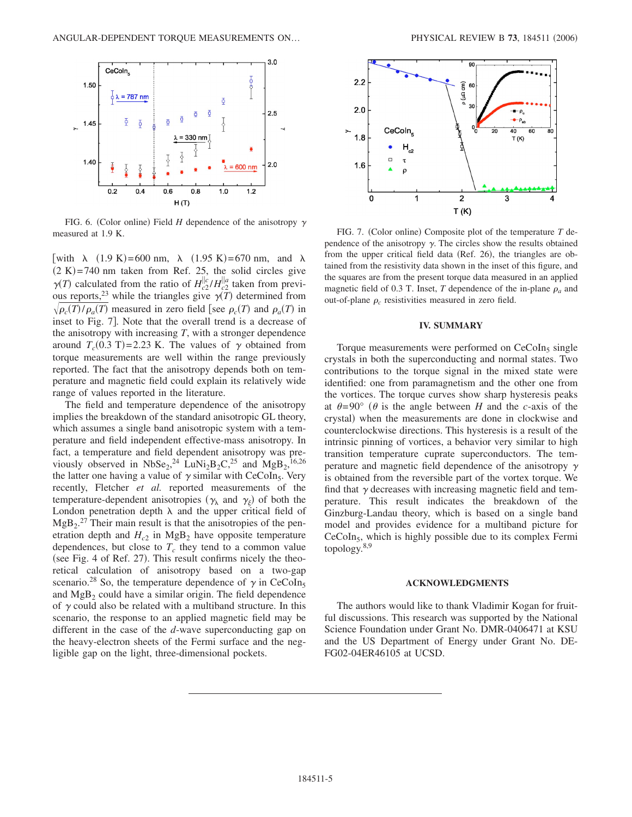

FIG. 6. (Color online) Field  $H$  dependence of the anisotropy  $\gamma$ measured at 1.9 K.

[with  $\lambda$  (1.9 K)=600 nm,  $\lambda$  (1.95 K)=670 nm, and  $\lambda$  $(2 K)=740$  nm taken from Ref. 25, the solid circles give  $\gamma(T)$  calculated from the ratio of  $H_{c2}^{||c} / H_{c2}^{||a}$  taken from previous reports,<sup>23</sup> while the triangles give  $\gamma(T)$  determined from  $\sqrt{\rho_c(T)/\rho_a(T)}$  measured in zero field [see  $\rho_c(T)$  and  $\rho_a(T)$  in inset to Fig. 7. Note that the overall trend is a decrease of the anisotropy with increasing *T*, with a stronger dependence around  $T_c$ (0.3 T)=2.23 K. The values of  $\gamma$  obtained from torque measurements are well within the range previously reported. The fact that the anisotropy depends both on temperature and magnetic field could explain its relatively wide range of values reported in the literature.

The field and temperature dependence of the anisotropy implies the breakdown of the standard anisotropic GL theory, which assumes a single band anisotropic system with a temperature and field independent effective-mass anisotropy. In fact, a temperature and field dependent anisotropy was previously observed in  $NbSe_2$ ,<sup>24</sup> LuNi<sub>2</sub>B<sub>2</sub>C,<sup>25</sup> and MgB<sub>2</sub>,<sup>16,26</sup> the latter one having a value of  $\gamma$  similar with CeCoIn<sub>5</sub>. Very recently, Fletcher *et al.* reported measurements of the temperature-dependent anisotropies ( $\gamma_{\lambda}$  and  $\gamma_{\xi}$ ) of both the London penetration depth  $\lambda$  and the upper critical field of  $MgB_2$ <sup>27</sup> Their main result is that the anisotropies of the penetration depth and  $H_{c2}$  in MgB<sub>2</sub> have opposite temperature dependences, but close to  $T_c$  they tend to a common value (see Fig. 4 of Ref. 27). This result confirms nicely the theoretical calculation of anisotropy based on a two-gap scenario.<sup>28</sup> So, the temperature dependence of  $\gamma$  in CeCoIn<sub>5</sub> and  $MgB<sub>2</sub>$  could have a similar origin. The field dependence of  $\gamma$  could also be related with a multiband structure. In this scenario, the response to an applied magnetic field may be different in the case of the *d*-wave superconducting gap on the heavy-electron sheets of the Fermi surface and the negligible gap on the light, three-dimensional pockets.



FIG. 7. (Color online) Composite plot of the temperature T dependence of the anisotropy  $\gamma$ . The circles show the results obtained from the upper critical field data (Ref. 26), the triangles are obtained from the resistivity data shown in the inset of this figure, and the squares are from the present torque data measured in an applied magnetic field of 0.3 T. Inset, *T* dependence of the in-plane  $\rho_a$  and out-of-plane  $\rho_c$  resistivities measured in zero field.

### **IV. SUMMARY**

Torque measurements were performed on  $CeCoIn<sub>5</sub>$  single crystals in both the superconducting and normal states. Two contributions to the torque signal in the mixed state were identified: one from paramagnetism and the other one from the vortices. The torque curves show sharp hysteresis peaks at  $\theta = 90^{\circ}$  ( $\theta$  is the angle between *H* and the *c*-axis of the crystal) when the measurements are done in clockwise and counterclockwise directions. This hysteresis is a result of the intrinsic pinning of vortices, a behavior very similar to high transition temperature cuprate superconductors. The temperature and magnetic field dependence of the anisotropy  $\gamma$ is obtained from the reversible part of the vortex torque. We find that  $\gamma$  decreases with increasing magnetic field and temperature. This result indicates the breakdown of the Ginzburg-Landau theory, which is based on a single band model and provides evidence for a multiband picture for  $CeCoIn<sub>5</sub>$ , which is highly possible due to its complex Fermi topology. $8,9$ 

### **ACKNOWLEDGMENTS**

The authors would like to thank Vladimir Kogan for fruitful discussions. This research was supported by the National Science Foundation under Grant No. DMR-0406471 at KSU and the US Department of Energy under Grant No. DE-FG02-04ER46105 at UCSD.